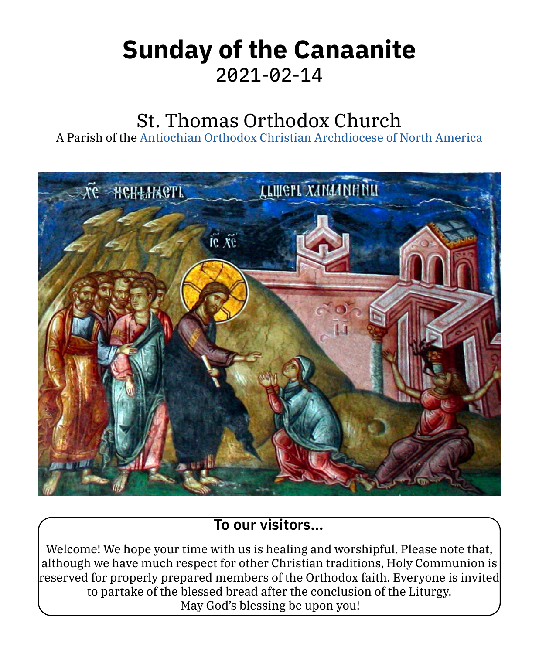# **Sunday of the Canaanite** 2021-02-14

# St. Thomas Orthodox Church

A Parish of the [Antiochian Orthodox Christian Archdiocese of North America](https://www.antiochian.org)



### **To our visitors…**

Welcome! We hope your time with us is healing and worshipful. Please note that, although we have much respect for other Christian traditions, Holy Communion is reserved for properly prepared members of the Orthodox faith. Everyone is invited to partake of the blessed bread after the conclusion of the Liturgy. May God's blessing be upon you!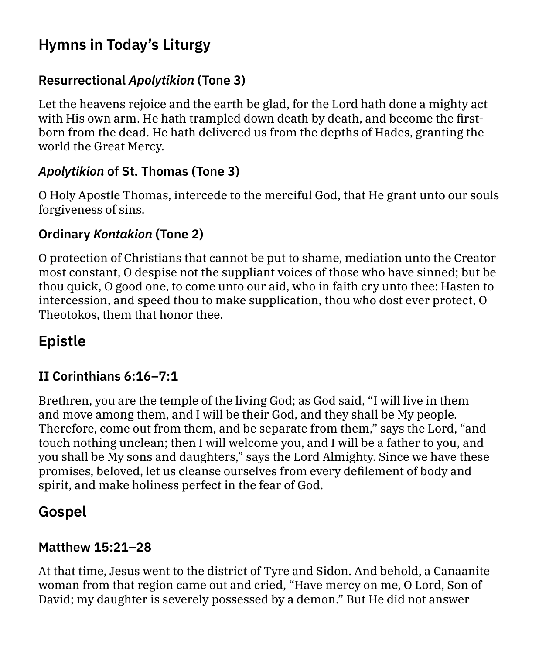## **Hymns in Today's Liturgy**

#### **Resurrectional** *Apolytikion* **(Tone 3)**

Let the heavens rejoice and the earth be glad, for the Lord hath done a mighty act with His own arm. He hath trampled down death by death, and become the firstborn from the dead. He hath delivered us from the depths of Hades, granting the world the Great Mercy.

### *Apolytikion* **of St. Thomas (Tone 3)**

O Holy Apostle Thomas, intercede to the merciful God, that He grant unto our souls forgiveness of sins.

#### **Ordinary** *Kontakion* **(Tone 2)**

O protection of Christians that cannot be put to shame, mediation unto the Creator most constant, O despise not the suppliant voices of those who have sinned; but be thou quick, O good one, to come unto our aid, who in faith cry unto thee: Hasten to intercession, and speed thou to make supplication, thou who dost ever protect, O Theotokos, them that honor thee.

# **Epistle**

#### **II Corinthians 6:16–7:1**

Brethren, you are the temple of the living God; as God said, "I will live in them and move among them, and I will be their God, and they shall be My people. Therefore, come out from them, and be separate from them," says the Lord, "and touch nothing unclean; then I will welcome you, and I will be a father to you, and you shall be My sons and daughters," says the Lord Almighty. Since we have these promises, beloved, let us cleanse ourselves from every defilement of body and spirit, and make holiness perfect in the fear of God.

### **Gospel**

#### **Matthew 15:21–28**

At that time, Jesus went to the district of Tyre and Sidon. And behold, a Canaanite woman from that region came out and cried, "Have mercy on me, O Lord, Son of David; my daughter is severely possessed by a demon." But He did not answer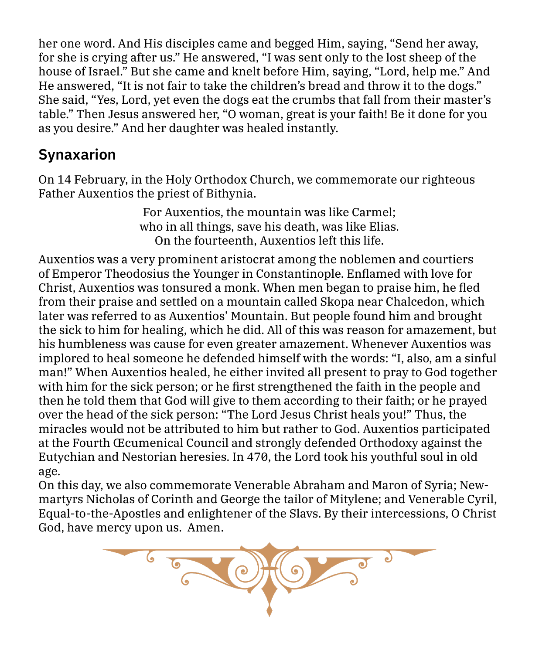her one word. And His disciples came and begged Him, saying, "Send her away, for she is crying after us." He answered, "I was sent only to the lost sheep of the house of Israel." But she came and knelt before Him, saying, "Lord, help me." And He answered, "It is not fair to take the children's bread and throw it to the dogs." She said, "Yes, Lord, yet even the dogs eat the crumbs that fall from their master's table." Then Jesus answered her, "O woman, great is your faith! Be it done for you as you desire." And her daughter was healed instantly.

## **Synaxarion**

On 14 February, in the Holy Orthodox Church, we commemorate our righteous Father Auxentios the priest of Bithynia.

> For Auxentios, the mountain was like Carmel; who in all things, save his death, was like Elias. On the fourteenth, Auxentios left this life.

Auxentios was a very prominent aristocrat among the noblemen and courtiers of Emperor Theodosius the Younger in Constantinople. Enflamed with love for Christ, Auxentios was tonsured a monk. When men began to praise him, he fled from their praise and settled on a mountain called Skopa near Chalcedon, which later was referred to as Auxentios' Mountain. But people found him and brought the sick to him for healing, which he did. All of this was reason for amazement, but his humbleness was cause for even greater amazement. Whenever Auxentios was implored to heal someone he defended himself with the words: "I, also, am a sinful man!" When Auxentios healed, he either invited all present to pray to God together with him for the sick person; or he first strengthened the faith in the people and then he told them that God will give to them according to their faith; or he prayed over the head of the sick person: "The Lord Jesus Christ heals you!" Thus, the miracles would not be attributed to him but rather to God. Auxentios participated at the Fourth Œcumenical Council and strongly defended Orthodoxy against the Eutychian and Nestorian heresies. In 470, the Lord took his youthful soul in old age.

On this day, we also commemorate Venerable Abraham and Maron of Syria; Newmartyrs Nicholas of Corinth and George the tailor of Mitylene; and Venerable Cyril, Equal-to-the-Apostles and enlightener of the Slavs. By their intercessions, O Christ God, have mercy upon us. Amen.